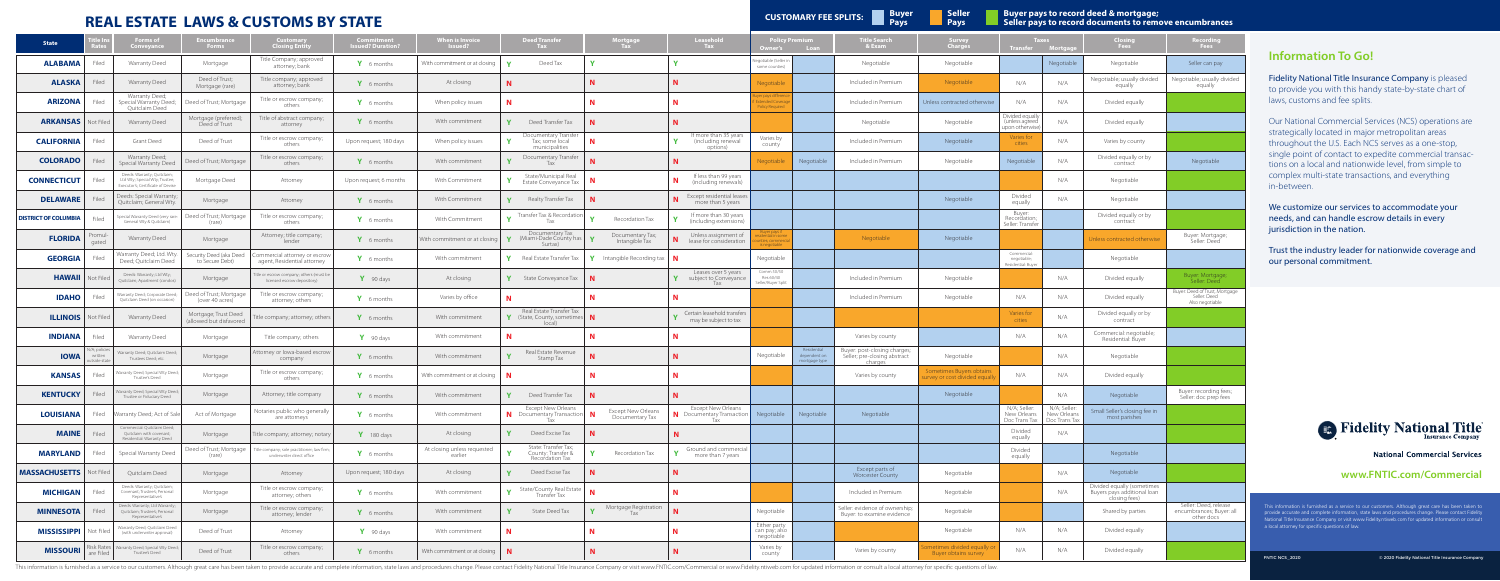## **REAL ESTATE LAWS & CUSTOMS BY STATE**

**Seller Pays**

**Buyer pays to record deed & mortgage; Seller pays to record documents to remove encumbrances**

| <b>State</b>                   |                                         | Forms of<br>Conveyance                                                                             | Encumbrance<br>Forms                            | <b>Customary</b><br>Closing Entity                                     | <b>Commitment</b><br>sued? Duration | When is Invoice<br>Issued?                           | <b>Deed Transfer</b><br>Tax <b>T</b>                                                          | Mortgage<br>Tax                       | Leasehold<br>Tax                                                          | Policy Premium<br>Loan<br>Owner's                                  |                                              | <b>Title Search</b><br>& Exam                                | Survey<br>Charges                                       | laxes<br><b>Transfer</b><br><b>Mortga</b>            |                                              | Closing<br>Fees                                                            | Recording<br>Fees                                                 |
|--------------------------------|-----------------------------------------|----------------------------------------------------------------------------------------------------|-------------------------------------------------|------------------------------------------------------------------------|-------------------------------------|------------------------------------------------------|-----------------------------------------------------------------------------------------------|---------------------------------------|---------------------------------------------------------------------------|--------------------------------------------------------------------|----------------------------------------------|--------------------------------------------------------------|---------------------------------------------------------|------------------------------------------------------|----------------------------------------------|----------------------------------------------------------------------------|-------------------------------------------------------------------|
| <b>ALABAMA</b>                 | Filed                                   | Warranty Deed                                                                                      | Mortgage                                        | Title Company; approved<br>attorney; bank                              | Y 6 months                          | With commitment or at closing                        | Deed Tax                                                                                      |                                       |                                                                           | egotiable (Seller in<br>some counties)                             |                                              | Negotiable                                                   | Negotiable                                              |                                                      | Negotiable                                   | Negotiable                                                                 | Seller can pay                                                    |
| <b>ALASKA</b>                  | Filed                                   | Warranty Deed                                                                                      | Deed of Trust;<br>Mortgage (rare)               | Title company; approved<br>attorney; bank                              | Y 6 months                          | At closing                                           |                                                                                               |                                       | N.                                                                        | Negotiable                                                         |                                              | Included in Premium                                          | Negotiable                                              | N/A                                                  | N/A                                          | Negotiable; usually divided<br>equally                                     | Negotiable; usually divided<br>equally                            |
| <b>ARIZONA</b>                 | Filed                                   | Warranty Deed;<br>Special Warranty Deed;<br>Quitclaim Deed                                         | Deed of Trust; Mortgage                         | Title or escrow company;<br>others                                     | Y 6 months                          | When policy issues                                   | N                                                                                             |                                       | N                                                                         | ver pays differen<br>xtended Coverage<br><b>Policy Required</b>    |                                              | Included in Premium                                          | Unless contracted otherwise                             | N/A                                                  | N/A                                          | Divided equally                                                            |                                                                   |
| <b>ARKANSAS</b>                | Not Filed                               | Warranty Deed                                                                                      | Mortgage (preferred);<br>Deed of Trust          | Title of abstract company;<br>attorney                                 | Y 6 months                          | With commitment                                      | <b>Y</b><br>Deed Transfer Tax                                                                 |                                       | N                                                                         |                                                                    |                                              | Negotiable                                                   | Negotiable                                              | Divided equally<br>(unless agreed<br>upon otherwise) | N/A                                          | Divided equally                                                            |                                                                   |
| <b>CALIFORNIA</b>              | Filed                                   | Grant Deed                                                                                         | Deed of Trust                                   | Title or escrow company;<br>others                                     | Upon request; 180 days              | When policy issues                                   | Documentary Transfer<br>Tax; some local<br>municipalities                                     | N.                                    | If more than 35 years<br>(including renewal<br>options)                   | Varies by<br>county                                                |                                              | Included in Premium                                          | Negotiable                                              | Varies for<br>cities                                 | N/A                                          | Varies by county                                                           |                                                                   |
| <b>COLORADO</b>                |                                         | Warranty Deed;<br>Special Warranty Deed                                                            | Deed of Trust; Mortgage                         | Title or escrow company;<br>others                                     | Y 6 months                          | With commitment                                      | Documentary Transfer<br>Tax                                                                   |                                       |                                                                           | Negotiable                                                         | Negotiable                                   | Included in Premium                                          | Negotiable                                              | Negotiable                                           | N/A                                          | Divided equally or by<br>contract                                          | Negotiable                                                        |
| <b>CONNECTICUT</b>             | Filed                                   | Deeds: Warranty; Quitclaim;<br>Ltd Wty; Special Wty; Trustee;<br>Executor's; Certificate of Devise | Mortgage Deed                                   | Attorney                                                               | Upon request; 6 months              | With Commitment                                      | State/Municipal Real<br>Estate Conveyance Tax                                                 | N.                                    | If less than 99 years<br>(including renewals)                             |                                                                    |                                              |                                                              |                                                         |                                                      | N/A                                          | Negotiable                                                                 |                                                                   |
| <b>DELAWARE</b>                | <b>Filed</b>                            | Deeds: Special Warranty;<br>Quitclaim; General Wty.                                                | Mortgage                                        | Attorney                                                               | Y 6 months                          | With Commitment                                      | Realty Transfer Tax                                                                           | N                                     | Except residential leases<br>more than 5 years                            |                                                                    |                                              |                                                              | Negotiable                                              | Divided<br>equally                                   | N/A                                          | Negotiable                                                                 |                                                                   |
| <b>DISTRICT OF COLUMBIA</b>    | Filed                                   | pecial Warranty Deed (very rare:<br>General Wty & Quitclaim)                                       | Deed of Trust; Mortgage<br>(rare)               | Title or escrow company;<br>others                                     | Y 6 months                          | With Commitment                                      | Transfer Tax & Recordation                                                                    | $\mathbf{v}$<br>Recordation Tax       | If more than 30 years<br>(including extensions)                           |                                                                    |                                              |                                                              |                                                         | Buyer:<br>Recordation;<br>Seller: Transfer           |                                              | Divided equally or by<br>contract                                          |                                                                   |
| <b>FLORIDA</b>                 | romul-<br>gated                         | Warranty Deed                                                                                      | Mortgage                                        | Attorney; title company;<br>lender                                     | Y 6 months                          | Nith commitment or at closing                        | Documentary Tax<br><b>Y</b> (Miami-Dade County has Surtax)                                    | Documentary Tax;<br>Intangible Tax    | Unless assignment of<br>N.<br>lease for consideration                     | Buyer pays if<br>idential in some<br>es; commercia<br>s negotiable |                                              | Negotiable                                                   | Negotiable                                              |                                                      |                                              | Jnless contracted otherwise                                                | Buyer: Mortgage;<br>Seller: Deed                                  |
| <b>GEORGIA</b>                 | Filed                                   | Warranty Deed; Ltd. Wty.<br>Deed; Quitclaim Deed                                                   | Security Deed (aka Deed<br>to Secure Debt)      | Commercial attorney or escrow<br>agent, Residential attorney           | Y 6 months                          | With commitment                                      | $\gamma$ Real Estate Transfer Tax                                                             | <b>Y</b> Intangible Recording tax   N |                                                                           | Negotiable                                                         |                                              |                                                              |                                                         | Commercial:<br>negotiable;<br>Residential: Buyer     |                                              | Negotiable                                                                 |                                                                   |
| <b>HAWAII</b>                  | Not Filed                               | Deeds: Warranty; Ltd Wty;<br>Quitclaim; Apartment (condos)                                         | Mortgage                                        | itle or escrow company; others (must be<br>licensed escrow depository) | Y 90 days                           | At closing                                           | <b>Y</b> State Conveyance Tax                                                                 | $\mathbf N$                           | Leases over 5 years<br>subject to Conveyance<br>Tax                       | Comm 50/50<br>Res 60/40<br>Seller/Buyer Split                      |                                              | Included in Premium                                          | Negotiable                                              |                                                      | N/A                                          | Divided equally                                                            | Buyer: Mortgage;<br>Seller: Deed                                  |
| <b>IDAHO</b>                   | Filed                                   | Narranty Deed; Corporate Deed;<br>Quitclaim Deed (on occasion)                                     | Deed of Trust; Mortgage<br>(over 40 acres)      | Title or escrow company;<br>attorney; others                           | Y 6 months                          | Varies by office                                     |                                                                                               |                                       |                                                                           |                                                                    |                                              | Included in Premium                                          | Negotiable                                              | N/A                                                  | N/A                                          | Divided equally                                                            | Buyer: Deed of Trust, Mortgage<br>Seller: Deed<br>Also negotiable |
| <b>ILLINOIS</b>                | Not Filed                               | Warranty Deed                                                                                      | Mortgage; Trust Deed<br>(allowed but disfavored | itle company; attorney; others                                         | Y 6 months                          | With commitment                                      | Real Estate Transfer Tax<br>Y (State, County, sometimes<br>local)                             |                                       | Y Certain leasehold transfers<br>may be subject to tax                    |                                                                    |                                              |                                                              |                                                         | Varies for<br>cities                                 | N/A                                          | Divided equally or by<br>contract                                          |                                                                   |
| <b>INDIANA</b>                 | Filed                                   | Warranty Deed                                                                                      | Mortgage                                        | Title company; others                                                  | $Y$ 90 days                         | With commitment                                      |                                                                                               | N                                     | N                                                                         |                                                                    |                                              | Varies by county                                             |                                                         | N/A                                                  | N/A                                          | Commercial: negotiable;<br>Residential: Buyer                              |                                                                   |
| <b>IOWA</b>                    | N/A; policies<br>written<br>itside stat | /arranty Deed; Quitclaim Deed;<br>Trustees Deed; etc.                                              | Mortgage                                        | Attorney or lowa-based escrow<br>company                               | Y 6 months                          | With commitment                                      | Real Estate Revenue<br>Stamp Tax                                                              | <b>N</b>                              | N.                                                                        | Negotiable                                                         | Residential<br>dependent on<br>mortgage type | Buyer: post-closing charges;<br>Séller; pre-closing abstract | Negotiable                                              |                                                      | N/A                                          | Negotiable                                                                 |                                                                   |
| <b>KANSAS</b>                  | Filed                                   | Varranty Deed; Special Wty Deed;<br>Trustee's Deed                                                 | Mortgage                                        | Title or escrow company;<br>others                                     | Y 6 months                          | With commitment or at closing $\parallel \mathbf{N}$ |                                                                                               | N                                     | N                                                                         |                                                                    |                                              | Varies by county                                             | Sometimes Buyers obtains<br>urvey or cost divided equal | N/A                                                  | N/A                                          | Divided equally                                                            |                                                                   |
| <b>KENTUCKY</b>                | Filed                                   | Warranty Deed; Special Wty Deed;<br>Trustee or Fiduciary Deed                                      | Mortgage                                        | Attorney; title company                                                | Y 6 months                          | With commitment                                      | <b>Y</b> Deed Transfer Tax                                                                    |                                       |                                                                           |                                                                    |                                              |                                                              | Negotiable                                              |                                                      | N/A                                          | Negotiable                                                                 | Buyer: recording fees;<br>Seller: doc prep fees                   |
| <b>LOUISIANA</b>               |                                         | Filed   Warranty Deed; Act of Sale                                                                 | Act of Mortgage                                 | Notaries public who generally<br>are attorneys                         | Y 6 months                          | With commitment                                      | Except New Orleans<br><b>N</b> Documentary Transaction <b>N</b> Except New Orleans<br>Tax Tax |                                       | Except New Orleans<br>N Documentary Transaction Negotiable Negotiable Tax |                                                                    |                                              | Negotiable                                                   |                                                         | N/A; Seller:<br>New Orleans<br>Doc Trans Tax         | N/A; Seller:<br>New Orleans<br>Doc Trans Tax | Small Seller's closing fee in<br>most parishes                             |                                                                   |
| <b>MAINE</b> Filed             |                                         | Commercial: Quitclaim Deed;<br>Quitclaim with covenant;<br>Residential: Warranty Deed              | Mortgage                                        | Title company; attorney; notary                                        | $Y$ 180 days                        | At closing                                           | $\gamma$ Deed Excise Tax $\vert N \vert$                                                      |                                       | N                                                                         |                                                                    |                                              |                                                              |                                                         | Divided<br>equally                                   | N/A                                          |                                                                            |                                                                   |
| <b>MARYLAND</b>                | Filed                                   | Special Warranty Deed                                                                              | Deed of Trust; Mortgage<br>(rare)               | itle company; sole practitioner; law firm<br>underwriter direct office | Y 6 months                          | At closing unless requested<br>earlier               | State: Transfer Tax;<br>County: Transfer &<br>Recordation Tax                                 | Recordation Tax<br><b>Y</b>           | Ground and commercial<br>more than 7 years                                |                                                                    |                                              |                                                              |                                                         | Divided<br>equally                                   |                                              | Negotiable                                                                 |                                                                   |
| <b>MASSACHUSETTS</b> Not Filed |                                         | Quitclaim Deed                                                                                     | Mortgage                                        | Attorney                                                               | Upon request; 180 days              | At closing                                           | Deed Excise Tax<br>$\mathbf{v}$                                                               |                                       | N                                                                         |                                                                    |                                              | Except parts of<br><b>Worcester County</b>                   | Negotiable                                              |                                                      | N/A                                          | Negotiable                                                                 |                                                                   |
| <b>MICHIGAN</b>                | Filed                                   | Deeds: Warranty; Quitclaim;<br>Covenant; Trustee's; Personal<br>Representative's                   | Mortgage                                        | Title or escrow company;<br>attorney; others                           | Y 6 months                          | With commitment                                      | State/County Real Estate<br>Transfer Tax                                                      |                                       | N                                                                         |                                                                    |                                              | Included in Premium                                          | Negotiable                                              |                                                      | N/A                                          | Divided equally (sometimes<br>Buyers pays additional loan<br>closing fees) |                                                                   |
| <b>MINNESOTA</b>               | Filed                                   | Deeds: Warranty; Ltd Warranty;<br>Quitclaim; Trustee's; Personal<br>Representative's               | Mortgage                                        | Title or escrow company;<br>attorney; lender                           | Y 6 months                          | With commitment                                      | State Deed Tax<br><b>V</b>                                                                    | Mortgage Registration<br>Tax          | N                                                                         | Negotiable                                                         |                                              | Seller: evidence of ownership;<br>Buyer: to examine evidence | Negotiable                                              |                                                      |                                              | Shared by parties                                                          | Seller: Deed, release<br>encumbrances; Buyer: all<br>other docs   |
| <b>MISSISSIPPI</b>             | Not Filed                               | Warranty Deed; Quitclaim Deed<br>(with underwriter approval)                                       | Deed of Trust                                   | Attorney                                                               | $\mathsf{Y}$ 90 days                | With commitment                                      | N                                                                                             |                                       | N                                                                         | Either party<br>can pay; also<br>negotiable                        |                                              |                                                              | Negotiable                                              | N/A                                                  | N/A                                          | Divided equally                                                            |                                                                   |
| <b>MISSOURI</b>                | are Filed                               | Risk Rates   Warranty Deed; Special Wty Deed;<br>Trustee's Deed                                    | Deed of Trust                                   | Title or escrow company;<br>others                                     | Y 6 months                          | With commitment or at closing $\parallel \mathbf{N}$ |                                                                                               | N                                     | N                                                                         | Varies by<br>county                                                |                                              | Varies by county                                             | bmetimes divided equally c<br>Buyer obtains survey      | N/A                                                  | N/A                                          | Divided equally                                                            |                                                                   |

This information is furnished as a service to our customers. Although great care has been taken to provide accurate and complete information, state laws and procedures change. Please contact Fidelity National Title Insuran

**Payable CUSTOMARY FEE SPLITS: Pays** 

**Fidelity National Title Insurance Company** is pleased to provide you with this handy state-by-state chart of laws, customs and fee splits.

This information is furnished as a service to our customers. Although great care has been taken to provide accurate and complete information, state laws and procedures change. Please contact Fidelity National Title Insurance Company or visit www.Fidelity.ntiweb.com for updated information or consult a local attorney for specific questions of law.

## **Information To Go!**

Our National Commercial Services (NCS) operations are strategically located in major metropolitan areas throughout the U.S. Each NCS serves as a one-stop, single point of contact to expedite commercial transactions on a local and nationwide level, from simple to complex multi-state transactions, and everything in-between.

We customize our services to accommodate your needs, and can handle escrow details in every jurisdiction in the nation.

Trust the industry leader for nationwide coverage and our personal commitment.



**National Commercial Services** 

### **www.FNTIC.com/Commercial**